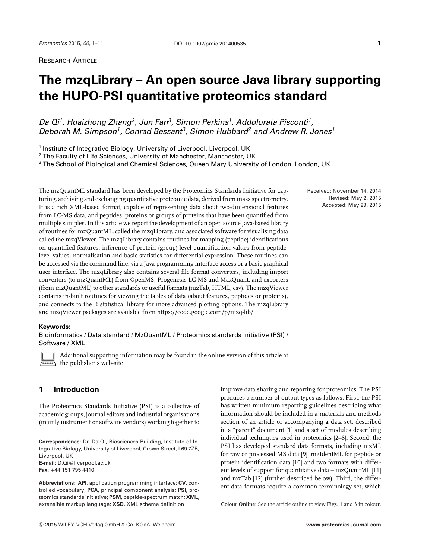*Da Qi1, Huaizhong Zhang2, Jun Fan3, Simon Perkins1, Addolorata Pisconti1, Deborah M. Simpson1, Conrad Bessant3, Simon Hubbard2 and Andrew R. Jones<sup>1</sup>*

<sup>1</sup> Institute of Integrative Biology, University of Liverpool, Liverpool, UK

<sup>2</sup> The Faculty of Life Sciences, University of Manchester, Manchester, UK

<sup>3</sup> The School of Biological and Chemical Sciences, Queen Mary University of London, London, UK

The mzQuantML standard has been developed by the Proteomics Standards Initiative for capturing, archiving and exchanging quantitative proteomic data, derived from mass spectrometry. It is a rich XML-based format, capable of representing data about two-dimensional features from LC-MS data, and peptides, proteins or groups of proteins that have been quantified from multiple samples. In this article we report the development of an open source Java-based library of routines for mzQuantML, called the mzqLibrary, and associated software for visualising data called the mzqViewer. The mzqLibrary contains routines for mapping (peptide) identifications on quantified features, inference of protein (group)-level quantification values from peptidelevel values, normalisation and basic statistics for differential expression. These routines can be accessed via the command line, via a Java programming interface access or a basic graphical user interface. The mzqLibrary also contains several file format converters, including import converters (to mzQuantML) from OpenMS, Progenesis LC-MS and MaxQuant, and exporters (from mzQuantML) to other standards or useful formats (mzTab, HTML, csv). The mzqViewer contains in-built routines for viewing the tables of data (about features, peptides or proteins), and connects to the R statistical library for more advanced plotting options. The mzqLibrary and mzqViewer packages are available from [https://code.google.com/p/mzq-lib/.](https://code.google.com/p/mzq-lib/)

#### **Keywords:**

Bioinformatics / Data standard / MzQuantML / Proteomics standards initiative (PSI) / Software / XML



Additional supporting information may be found in the online version of this article at the publisher's web-site

# **1 Introduction**

The Proteomics Standards Initiative (PSI) is a collective of academic groups, journal editors and industrial organisations (mainly instrument or software vendors) working together to

**Correspondence**: Dr. Da Qi, Biosciences Building, Institute of Integrative Biology, University of Liverpool, Crown Street, L69 7ZB, Liverpool, UK **E-mail**: D.Qi@liverpool.ac.uk **Fax**: +44 151 795 4410

**Abbreviations: API**, application programming interface; **CV**, controlled vocabulary; **PCA**, principal component analysis; **PSI**, proteomics standards initiative; **PSM**, peptide-spectrum match; **XML**, extensible markup language; **XSD**, XML schema definition

improve data sharing and reporting for proteomics. The PSI produces a number of output types as follows. First, the PSI has written minimum reporting guidelines describing what information should be included in a materials and methods section of an article or accompanying a data set, described in a "parent" document [1] and a set of modules describing individual techniques used in proteomics [2–8]. Second, the PSI has developed standard data formats, including mzML for raw or processed MS data [9], mzIdentML for peptide or protein identification data [10] and two formats with different levels of support for quantitative data – mzQuantML [11] and mzTab [12] (further described below). Third, the different data formats require a common terminology set, which

**Colour Online**: See the article online to view Figs. 1 and 3 in colour.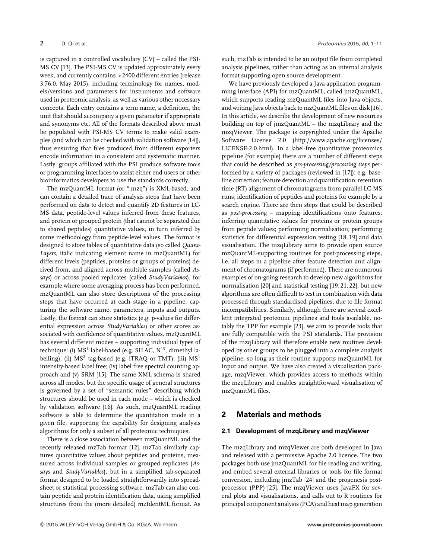is captured in a controlled vocabulary (CV) – called the PSI-MS CV [13]. The PSI-MS CV is updated approximately every week, and currently contains >2400 different entries (release 3.76.0, May 2015), including terminology for names, models/versions and parameters for instruments and software used in proteomic analysis, as well as various other necessary concepts. Each entry contains a term name, a definition, the unit that should accompany a given parameter if appropriate and synonyms etc. All of the formats described above must be populated with PSI-MS CV terms to make valid examples (and which can be checked with validation software [14]), thus ensuring that files produced from different exporters encode information in a consistent and systematic manner. Lastly, groups affiliated with the PSI produce software tools or programming interfaces to assist either end users or other bioinformatics developers to use the standards correctly.

The mzQuantML format (or ".mzq") is XML-based, and can contain a detailed trace of analysis steps that have been performed on data to detect and quantify 2D features in LC-MS data, peptide-level values inferred from these features, and protein or grouped protein (that cannot be separated due to shared peptides) quantitative values, in turn inferred by some methodology from peptide-level values. The format is designed to store tables of quantitative data (so called *Quant-Layers*, italic indicating element name in mzQuantML) for different levels (peptides, proteins or groups of proteins) derived from, and aligned across multiple samples (called *Assays*) or across pooled replicates (called *StudyVariables*), for example where some averaging process has been performed. mzQuantML can also store descriptions of the processing steps that have occurred at each stage in a pipeline, capturing the software name, parameters, inputs and outputs. Lastly, the format can store statistics (e.g. p-values for differential expression across *StudyVariables*) or other scores associated with confidence of quantitative values. mzQuantML has several different modes – supporting individual types of technique: (i)  $MS<sup>1</sup>$  label-based (e.g. SILAC,  $N<sup>15</sup>$ , dimethyl labelling); (ii)  $MS^2$  tag-based (e.g. iTRAQ or TMT); (iii)  $MS^1$ intensity-based label free; (iv) label free spectral counting approach and (v) SRM [15]. The same XML schema is shared across all modes, but the specific usage of general structures is governed by a set of "semantic rules" describing which structures should be used in each mode – which is checked by validation software [16]. As such, mzQuantML reading software is able to determine the quantitation mode in a given file, supporting the capability for designing analysis algorithms for only a subset of all proteomic techniques.

There is a close association between mzQuantML and the recently released mzTab format [12]. mzTab similarly captures quantitative values about peptides and proteins, measured across individual samples or grouped replicates (*Assays* and *StudyVariables*), but in a simplified tab-separated format designed to be loaded straightforwardly into spreadsheet or statistical processing software. mzTab can also contain peptide and protein identification data, using simplified structures from the (more detailed) mzIdentML format. As

such, mzTab is intended to be an output file from completed analysis pipelines, rather than acting as an internal analysis format supporting open source development.

We have previously developed a Java application programming interface (API) for mzQuantML, called jmzQuantML, which supports reading mzQuantML files into Java objects, and writing Java objects back to mzQuantML files on disk [16]. In this article, we describe the development of new resources building on top of jmzQuantML – the mzqLibrary and the mzqViewer. The package is copyrighted under the Apache Software License 2.0 [\(http://www.apache.org/licenses/](http://www.apache.org/licenses/LICENSE-2.0.html) [LICENSE-2.0.html\)](http://www.apache.org/licenses/LICENSE-2.0.html). In a label-free quantitative proteomics pipeline (for example) there are a number of different steps that could be described as *pre-processing/processing steps* performed by a variety of packages (reviewed in [17]): e.g. baseline correction; feature detection and quantification; retention time (RT) alignment of chromatograms from parallel LC-MS runs; identification of peptides and proteins for example by a search engine. There are then steps that could be described as *post-processing –* mapping identifications onto features; inferring quantitative values for proteins or protein groups from peptide values; performing normalisation; performing statistics for differential expression testing [18, 19] and data visualisation. The mzqLibrary aims to provide open source mzQuantML-supporting routines for post-processing steps, i.e. all steps in a pipeline after feature detection and alignment of chromatograms (if performed). There are numerous examples of on-going research to develop new algorithms for normalisation [20] and statistical testing [19, 21, 22], but new algorithms are often difficult to test in combination with data processed through standardised pipelines, due to file format incompatibilities. Similarly, although there are several excellent integrated proteomic pipelines and tools available, notably the TPP for example [23], we aim to provide tools that are fully compatible with the PSI standards. The provision of the mzqLibrary will therefore enable new routines developed by other groups to be plugged into a complete analysis pipeline, so long as their routine supports mzQuantML for input and output. We have also created a visualisation package, mzqViewer, which provides access to methods within the mzqLibrary and enables straightforward visualisation of mzQuantML files.

## **2 Materials and methods**

#### **2.1 Development of mzqLibrary and mzqViewer**

The mzqLibrary and mzqViewer are both developed in Java and released with a permissive Apache 2.0 licence. The two packages both use jmzQuantML for file reading and writing, and embed several external libraries or tools for file format conversion, including jmzTab [24] and the progenesis postprocessor (PPP) [25]. The mzqViewer uses JavaFX for several plots and visualisations, and calls out to R routines for principal component analysis (PCA) and heat map generation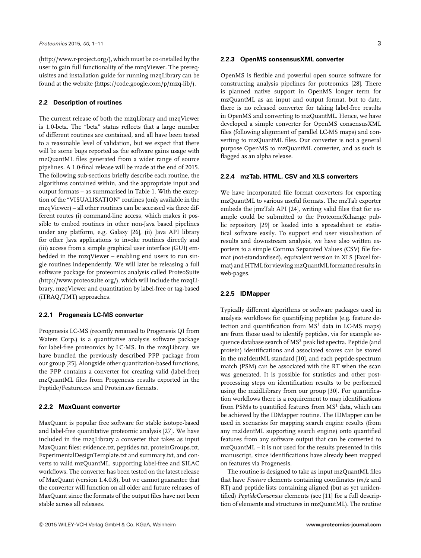[\(http://www.r-project.org/\)](http://www.r-project.org/), which must be co-installed by the user to gain full functionality of the mzqViewer. The prerequisites and installation guide for running mzqLibrary can be found at the website [\(https://code.google.com/p/mzq-lib/\)](https://code.google.com/p/mzq-lib/).

#### **2.2 Description of routines**

The current release of both the mzqLibrary and mzqViewer is 1.0-beta. The "beta" status reflects that a large number of different routines are contained, and all have been tested to a reasonable level of validation, but we expect that there will be some bugs reported as the software gains usage with mzQuantML files generated from a wider range of source pipelines. A 1.0-final release will be made at the end of 2015. The following sub-sections briefly describe each routine, the algorithms contained within, and the appropriate input and output formats – as summarised in Table 1. With the exception of the "VISUALISATION" routines (only available in the mzqViewer) – all other routines can be accessed via three different routes (i) command-line access, which makes it possible to embed routines in other non-Java based pipelines under any platform, e.g. Galaxy [26], (ii) Java API library for other Java applications to invoke routines directly and (iii) access from a simple graphical user interface (GUI) embedded in the mzqViewer – enabling end users to run single routines independently. We will later be releasing a full software package for proteomics analysis called ProteoSuite [\(http://www.proteosuite.org/\)](http://www.proteosuite.org/), which will include the mzqLibrary, mzqViewer and quantitation by label-free or tag-based (iTRAQ/TMT) approaches.

## **2.2.1 Progenesis LC-MS converter**

Progenesis LC-MS (recently renamed to Progenesis QI from Waters Corp.) is a quantitative analysis software package for label-free proteomics by LC-MS. In the mzqLibrary, we have bundled the previously described PPP package from our group [25]. Alongside other quantitation-based functions, the PPP contains a converter for creating valid (label-free) mzQuantML files from Progenesis results exported in the Peptide/Feature.csv and Protein.csv formats.

### **2.2.2 MaxQuant converter**

MaxQuant is popular free software for stable isotope-based and label-free quantitative proteomic analysis [27]. We have included in the mzqLibrary a converter that takes as input MaxQuant files: evidence.txt, peptides.txt, proteinGroups.txt, ExperimentalDesignTemplate.txt and summary.txt, and converts to valid mzQuantML, supporting label-free and SILAC workflows. The converter has been tested on the latest release of MaxQuant (version 1.4.0.8), but we cannot guarantee that the converter will function on all older and future releases of MaxQuant since the formats of the output files have not been stable across all releases.

#### **2.2.3 OpenMS consensusXML converter**

OpenMS is flexible and powerful open source software for constructing analysis pipelines for proteomics [28]. There is planned native support in OpenMS longer term for mzQuantML as an input and output format, but to date, there is no released converter for taking label-free results in OpenMS and converting to mzQuantML. Hence, we have developed a simple converter for OpenMS consensusXML files (following alignment of parallel LC-MS maps) and converting to mzQuantML files. Our converter is not a general purpose OpenMS to mzQuantML converter, and as such is flagged as an alpha release.

#### **2.2.4 mzTab, HTML, CSV and XLS converters**

We have incorporated file format converters for exporting mzQuantML to various useful formats. The mzTab exporter embeds the jmzTab API [24], writing valid files that for example could be submitted to the ProteomeXchange public repository [29] or loaded into a spreadsheet or statistical software easily. To support end user visualisation of results and downstream analysis, we have also written exporters to a simple Comma Separated Values (CSV) file format (not-standardised), equivalent version in XLS (Excel format) and HTML for viewing mzQuantML formatted results in web-pages.

## **2.2.5 IDMapper**

Typically different algorithms or software packages used in analysis workflows for quantifying peptides (e.g. feature detection and quantification from  $MS<sup>1</sup>$  data in LC-MS maps) are from those used to identify peptides, via for example sequence database search of MS<sup>2</sup> peak list spectra. Peptide (and protein) identifications and associated scores can be stored in the mzIdentML standard [10], and each peptide-spectrum match (PSM) can be associated with the RT when the scan was generated. It is possible for statistics and other postprocessing steps on identification results to be performed using the mzidLibrary from our group [30]. For quantification workflows there is a requirement to map identifications from PSMs to quantified features from  $MS<sup>1</sup>$  data, which can be achieved by the IDMapper routine. The IDMapper can be used in scenarios for mapping search engine results (from any mzIdentML supporting search engine) onto quantified features from any software output that can be converted to mzQuantML – it is not used for the results presented in this manuscript, since identifications have already been mapped on features via Progenesis.

The routine is designed to take as input mzQuantML files that have *Feature* elements containing coordinates (*m/z* and RT) and peptide lists containing aligned (but as yet unidentified) *PeptideConsensus* elements (see [11] for a full description of elements and structures in mzQuantML). The routine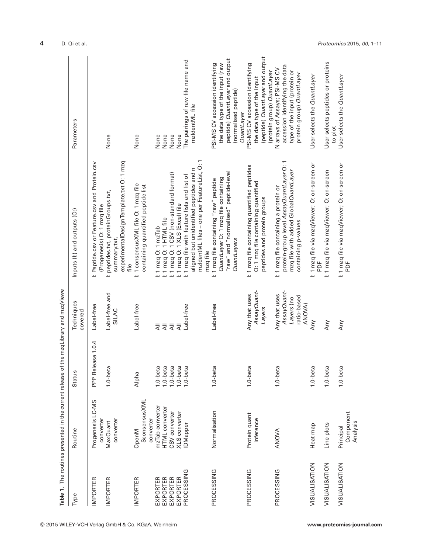|                | Table 1. The routines presented in the current release of the mzqLibrary and mzqViewe |                   |                                |                                                                                                        |                                                               |
|----------------|---------------------------------------------------------------------------------------|-------------------|--------------------------------|--------------------------------------------------------------------------------------------------------|---------------------------------------------------------------|
| Type           | Routine                                                                               | Status            | Techniques<br>covered          | Inputs (I:) and outputs (O:)                                                                           | Parameters                                                    |
| MPORTER        | Progenesis LC-MS<br>converter                                                         | PPP Release 1.0.4 | Label-free                     | I: Peptide.csv or Feature.csv and Protein.csv<br>(Progenesis) O: 1 mzq file                            |                                                               |
| <b>MPORTER</b> | converter<br>MaxQuant                                                                 | 1.0-beta          | Label-free and<br><b>SILAC</b> | experimentalDesignTemplate.txt O: 1 mzq<br>l: peptides.txt, proteinGroups.txt,<br>summary.txt,<br>file | None                                                          |
| <b>MPORTER</b> | <b>SconsensusXML</b><br>converter<br>OpenM                                            | Alpha             | Label-free                     | I: 1 consensusXML file O: 1 mzq file<br>containing quantified peptide list                             | None                                                          |
| EXPORTER       | mzTab converter                                                                       | 1.0-beta          | $\overline{4}$                 | I: 1 mzq O: 1 mzTab                                                                                    | None                                                          |
| EXPORTER       | HTML converter                                                                        | $1.0$ -beta       | $\bar{A}$                      | I: 1 mzq O: 1 HTML file                                                                                | None                                                          |
| EXPORTER       | CSV converter                                                                         | 1.0-beta          | $\overline{\overline{z}}$      | i: 1 mzq O: 1 CSV (non-standard format)                                                                | None                                                          |
| EXPORTER       | XLS converter                                                                         | 1.0-beta          | ₹                              | I: 1 mzq O: 1 XLS (Excel) file                                                                         | None                                                          |
| PROCESSING     | <b>IDMapper</b>                                                                       | l.0-beta          | Label-free                     | I: 1 mzq file with feature lists and list of                                                           | The pairings of raw file name and                             |
|                |                                                                                       |                   |                                | mzldentML files - one per FeatureList, O: 1<br>aligned but unidentified peptides and n<br>mzq file     | mzldentML file                                                |
| PROCESSING     | Normalisation                                                                         | $1.0$ -beta       | Label-free                     | I: 1 mzq file containing "raw" peptide                                                                 | PSI-MS CV accession identifying                               |
|                |                                                                                       |                   |                                | QuantLayer O: 1 mzq file containing                                                                    | the data type of the input (raw                               |
|                |                                                                                       |                   |                                | "raw" and "normalised" peptide-level                                                                   | peptide) QuantLayer and output                                |
|                |                                                                                       |                   |                                | <b>QuantLayers</b>                                                                                     | (normalised peptide)<br>QuantLayer                            |
| PROCESSING     | Protein quant                                                                         | $1.0$ -beta       | Any that uses                  | I: 1 mzq file containing quantified peptides                                                           | PSI-MS CV accession identifying                               |
|                | inference                                                                             |                   | AssayQuant-                    | O: 1 mzq file containing quantified                                                                    | the data type of the input                                    |
|                |                                                                                       |                   | Layers                         | peptides and protein groups                                                                            | (peptide) QuantLayer and output<br>(protein group) QuantLayer |
| PROCESSING     | ANOVA                                                                                 | $1.0$ -beta       | Any that uses                  | I: 1 mzq file containing a protein or                                                                  | N arrays of Assays; PSI-MS CV                                 |
|                |                                                                                       |                   | AssayQuant-                    | protein-group level AssayQuantLayer O:1                                                                | accession identifying the data                                |
|                |                                                                                       |                   | Layers (no                     | mzq file with added Global QuantLayer                                                                  | type of the input (protein or                                 |
|                |                                                                                       |                   | ratio-based<br>ANOVA)          | containing p-values                                                                                    | protein group) QuantLayer                                     |
| VISUALISATION  | Heat map                                                                              | $1.0$ -beta       | Any                            | I: 1 mzq file via mzqViewer; O: on-screen or<br>PDF                                                    | User selects the QuantLayer                                   |
| VISUALISATION  | Line plots                                                                            | $1.0$ -beta       | Any                            | I: 1 mzq file via mzqViewer; O: on-screen                                                              | User selects peptides or proteins<br>to plot                  |
| VISUALISATION  | Principal                                                                             | $1.0$ -beta       | Any                            | l: 1 mzq file via mzqViewer; O: on-screen or                                                           | User selects the QuantLayer                                   |
|                | Component<br>Analysis                                                                 |                   |                                | 片<br>C                                                                                                 |                                                               |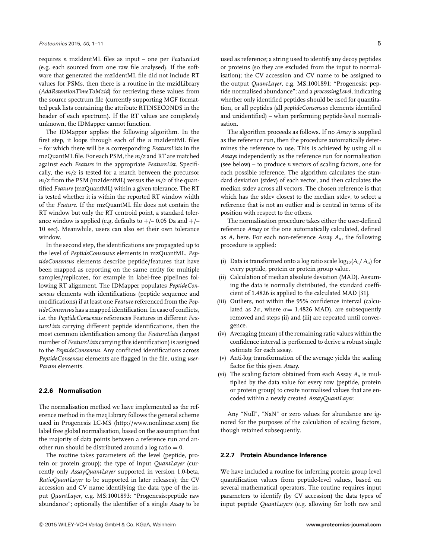requires *n* mzIdentML files as input – one per *FeatureList* (e.g. each sourced from one raw file analysed). If the software that generated the mzIdentML file did not include RT values for PSMs, then there is a routine in the mzidLibrary (*AddRetentionTimeToMzid*) for retrieving these values from the source spectrum file (currently supporting MGF formatted peak lists containing the attribute RTINSECONDS in the header of each spectrum). If the RT values are completely unknown, the IDMapper cannot function.

The IDMapper applies the following algorithm. In the first step, it loops through each of the *n* mzIdentML files – for which there will be *n* corresponding *FeatureLists* in the mzQuantML file. For each PSM, the *m/z* and RT are matched against each *Feature* in the appropriate *FeatureList*. Specifically, the *m/z* is tested for a match between the precursor *m/z* from the PSM (mzIdentML) versus the *m/z* of the quantified *Feature* (mzQuantML) within a given tolerance. The RT is tested whether it is within the reported RT window width of the *Feature*. If the mzQuantML file does not contain the RT window but only the RT centroid point, a standard tolerance window is applied (e.g. defaults to  $+/-$  0.05 Da and  $+/-$ 10 sec). Meanwhile, users can also set their own tolerance window.

In the second step, the identifications are propagated up to the level of *PeptideConsensus* elements in mzQuantML. *PeptideConsensus* elements describe peptide/features that have been mapped as reporting on the same entity for multiple samples/replicates, for example in label-free pipelines following RT alignment. The IDMapper populates *PeptideConsensus* elements with identifications (peptide sequence and modifications) if at least one *Feature* referenced from the *PeptideConsensus* has a mapped identification. In case of conflicts, i.e. the *PeptideConsensus* references Features in different *FeatureLists* carrying different peptide identifications, then the most common identification among the *FeatureLists* (largest number of *FeatureLists* carrying this identification) is assigned to the *PeptideConsensus*. Any conflicted identifications across *PeptideConsensus* elements are flagged in the file, using *user-Param* elements.

## **2.2.6 Normalisation**

The normalisation method we have implemented as the reference method in the mzqLibrary follows the general scheme used in Progenesis LC-MS [\(http://www.nonlinear.com\)](http://www.nonlinear.com) for label free global normalisation, based on the assumption that the majority of data points between a reference run and another run should be distributed around a log ratio  $= 0$ .

The routine takes parameters of: the level (peptide, protein or protein group); the type of input *QuantLayer* (currently only *AssayQuantLayer* supported in version 1.0-beta, *RatioQuantLayer* to be supported in later releases); the CV accession and CV name identifying the data type of the input *QuantLayer*, e.g. MS:1001893: "Progenesis:peptide raw abundance"; optionally the identifier of a single *Assay* to be

used as reference; a string used to identify any decoy peptides or proteins (so they are excluded from the input to normalisation); the CV accession and CV name to be assigned to the output *QuantLayer*, e.g. MS:1001891: "Progenesis: peptide normalised abundance"; and a *processingLevel*, indicating whether only identified peptides should be used for quantitation, or all peptides (all *peptideConsensus* elements identified and unidentified) – when performing peptide-level normalisation.

The algorithm proceeds as follows. If no *Assay* is supplied as the reference run, then the procedure automatically determines the reference to use. This is achieved by using all *n Assays* independently as the reference run for normalisation (see below) – to produce *n* vectors of scaling factors, one for each possible reference. The algorithm calculates the standard deviation (stdev) of each vector, and then calculates the median stdev across all vectors. The chosen reference is that which has the stdev closest to the median stdev, to select a reference that is not an outlier and is central in terms of its position with respect to the others.

The normalisation procedure takes either the user-defined reference *Assay* or the one automatically calculated, defined as *Ar* here. For each non-reference *Assay An*, the following procedure is applied:

- (i) Data is transformed onto a log ratio scale  $\log_{10}(A_r/A_n)$  for every peptide, protein or protein group value.
- (ii) Calculation of median absolute deviation (MAD). Assuming the data is normally distributed, the standard coefficient of 1.4826 is applied to the calculated MAD [31].
- (iii) Outliers, not within the 95% confidence interval (calculated as  $2\sigma$ , where  $\sigma = 1.4826$  MAD), are subsequently removed and steps (ii) and (iii) are repeated until convergence.
- (iv) Averaging (mean) of the remaining ratio values within the confidence interval is performed to derive a robust single estimate for each assay.
- (v) Anti-log transformation of the average yields the scaling factor for this given *Assay*.
- (vi) The scaling factors obtained from each Assay *An* is multiplied by the data value for every row (peptide, protein or protein group) to create normalised values that are encoded within a newly created *AssayQuantLayer*.

Any "Null", "NaN" or zero values for abundance are ignored for the purposes of the calculation of scaling factors, though retained subsequently.

#### **2.2.7 Protein Abundance Inference**

We have included a routine for inferring protein group level quantification values from peptide-level values, based on several mathematical operators. The routine requires input parameters to identify (by CV accession) the data types of input peptide *QuantLayers* (e.g. allowing for both raw and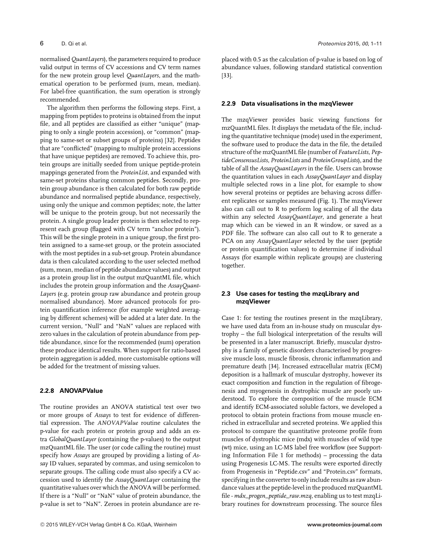normalised *QuantLayers*), the parameters required to produce valid output in terms of CV accessions and CV term names for the new protein group level *QuantLayers*, and the mathematical operation to be performed (sum, mean, median). For label-free quantification, the sum operation is strongly recommended.

The algorithm then performs the following steps. First, a mapping from peptides to proteins is obtained from the input file, and all peptides are classified as either "unique" (mapping to only a single protein accession), or "common" (mapping to same-set or subset groups of proteins) [32]. Peptides that are "conflicted" (mapping to multiple protein accessions that have unique peptides) are removed. To achieve this, protein groups are initially seeded from unique peptide-protein mappings generated from the *ProteinList*, and expanded with same-set proteins sharing common peptides. Secondly, protein group abundance is then calculated for both raw peptide abundance and normalised peptide abundance, respectively, using only the unique and common peptides; note, the latter will be unique to the protein group, but not necessarily the protein. A single group leader protein is then selected to represent each group (flagged with CV term "anchor protein"). This will be the single protein in a unique group, the first protein assigned to a same-set group, or the protein associated with the most peptides in a sub-set group. Protein abundance data is then calculated according to the user selected method (sum, mean, median of peptide abundance values) and output as a protein group list in the output mzQuantML file, which includes the protein group information and the *AssayQuant-Layers* (e.g. protein group raw abundance and protein group normalised abundance). More advanced protocols for protein quantification inference (for example weighted averaging by different schemes) will be added at a later date. In the current version, "Null" and "NaN" values are replaced with zero values in the calculation of protein abundance from peptide abundance, since for the recommended (sum) operation these produce identical results. When support for ratio-based protein aggregation is added, more customisable options will be added for the treatment of missing values.

## **2.2.8 ANOVAPValue**

The routine provides an ANOVA statistical test over two or more groups of *Assays* to test for evidence of differential expression. The *ANOVAPValue* routine calculates the p-value for each protein or protein group and adds an extra *GlobalQuantLayer* (containing the p-values) to the output mzQuantML file. The user (or code calling the routine) must specify how *Assays* are grouped by providing a listing of *Assay* ID values, separated by commas, and using semicolon to separate groups. The calling code must also specify a CV accession used to identify the *AssayQuantLayer* containing the quantitative values over which the ANOVA will be performed. If there is a "Null" or "NaN" value of protein abundance, the p-value is set to "NaN". Zeroes in protein abundance are replaced with 0.5 as the calculation of p-value is based on log of abundance values, following standard statistical convention [33].

#### **2.2.9 Data visualisations in the mzqViewer**

The mzqViewer provides basic viewing functions for mzQuantML files. It displays the metadata of the file, including the quantitative technique (mode) used in the experiment, the software used to produce the data in the file, the detailed structure of the mzQuantML file (number of *FeatureLists*, *PeptideConsensusLists*, *ProteinLists* and *ProteinGroupLists*), and the table of all the *AssayQuantLayers* in the file. Users can browse the quantitation values in each *AssayQuantLayer* and display multiple selected rows in a line plot, for example to show how several proteins or peptides are behaving across different replicates or samples measured (Fig. 1). The mzqViewer also can call out to R to perform log scaling of all the data within any selected *AssayQuantLayer*, and generate a heat map which can be viewed in an R window, or saved as a PDF file. The software can also call out to R to generate a PCA on any *AssayQuantLayer* selected by the user (peptide or protein quantification values) to determine if individual Assays (for example within replicate groups) are clustering together.

## **2.3 Use cases for testing the mzqLibrary and mzqViewer**

Case 1: for testing the routines present in the mzqLibrary, we have used data from an in-house study on muscular dystrophy – the full biological interpretation of the results will be presented in a later manuscript. Briefly, muscular dystrophy is a family of genetic disorders characterised by progressive muscle loss, muscle fibrosis, chronic inflammation and premature death [34]. Increased extracellular matrix (ECM) deposition is a hallmark of muscular dystrophy, however its exact composition and function in the regulation of fibrogenesis and myogenesis in dystrophic muscle are poorly understood. To explore the composition of the muscle ECM and identify ECM-associated soluble factors, we developed a protocol to obtain protein fractions from mouse muscle enriched in extracellular and secreted proteins. We applied this protocol to compare the quantitative proteome profile from muscles of dystrophic mice (mdx) with muscles of wild type (wt) mice, using an LC-MS label free workflow (see Supporting Information File 1 for methods) – processing the data using Progenesis LC-MS. The results were exported directly from Progenesis in "Peptide.csv" and "Protein.csv" formats, specifying in the converter to only include results as raw abundance values at the peptide-level in the produced mzQuantML file - *mdx\_progen\_peptide\_raw.mzq*, enabling us to test mzqLibrary routines for downstream processing. The source files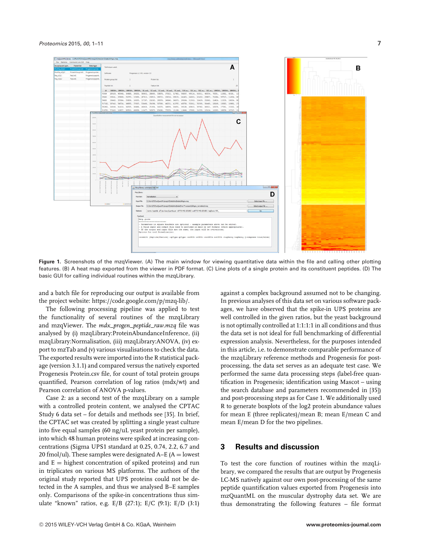

**Figure 1.** Screenshots of the mzqViewer. (A) The main window for viewing quantitative data within the file and calling other plotting features. (B) A heat map exported from the viewer in PDF format. (C) Line plots of a single protein and its constituent peptides. (D) The basic GUI for calling individual routines within the mzqLibrary.

and a batch file for reproducing our output is available from the project website: [https://code.google.com/p/mzq-lib/.](https://code.google.com/p/mzq-lib/)

The following processing pipeline was applied to test the functionality of several routines of the mzqLibrary and mzqViewer. The *mdx\_progen\_peptide\_raw.mzq* file was analysed by (i) mzqLibrary:ProteinAbundanceInference, (ii) mzqLibrary:Normalisation, (iii) mzqLibrary:ANOVA, (iv) export to mzTab and (v) various visualisations to check the data. The exported results were imported into the R statistical package (version 3.1.1) and compared versus the natively exported Progenesis Protein.csv file, for count of total protein groups quantified, Pearson correlation of log ratios (mdx/wt) and Pearson correlation of ANOVA p-values.

Case 2: as a second test of the mzqLibrary on a sample with a controlled protein content, we analysed the CPTAC Study 6 data set – for details and methods see [35]. In brief, the CPTAC set was created by splitting a single yeast culture into five equal samples (60 ng/uL yeast protein per sample), into which 48 human proteins were spiked at increasing concentrations (Sigma UPS1 standard at 0.25, 0.74, 2.2, 6.7 and 20 fmol/ul). These samples were designated  $A-E$  ( $A =$  lowest and  $E =$  highest concentration of spiked proteins) and run in triplicates on various MS platforms. The authors of the original study reported that UPS proteins could not be detected in the A samples, and thus we analysed B–E samples only. Comparisons of the spike-in concentrations thus simulate "known" ratios, e.g. E/B (27:1); E/C (9:1); E/D (3:1) against a complex background assumed not to be changing. In previous analyses of this data set on various software packages, we have observed that the spike-in UPS proteins are well controlled in the given ratios, but the yeast background is not optimally controlled at 1:1:1:1 in all conditions and thus the data set is not ideal for full benchmarking of differential expression analysis. Nevertheless, for the purposes intended in this article, i.e. to demonstrate comparable performance of the mzqLibrary reference methods and Progenesis for postprocessing, the data set serves as an adequate test case. We performed the same data processing steps (label-free quantification in Progenesis; identification using Mascot – using the search database and parameters recommended in [35]) and post-processing steps as for Case 1. We additionally used R to generate boxplots of the log2 protein abundance values for mean E (three replicates)/mean B; mean E/mean C and mean E/mean D for the two pipelines.

# **3 Results and discussion**

To test the core function of routines within the mzqLibrary, we compared the results that are output by Progenesis LC-MS natively against our own post-processing of the same peptide quantification values exported from Progenesis into mzQuantML on the muscular dystrophy data set. We are thus demonstrating the following features – file format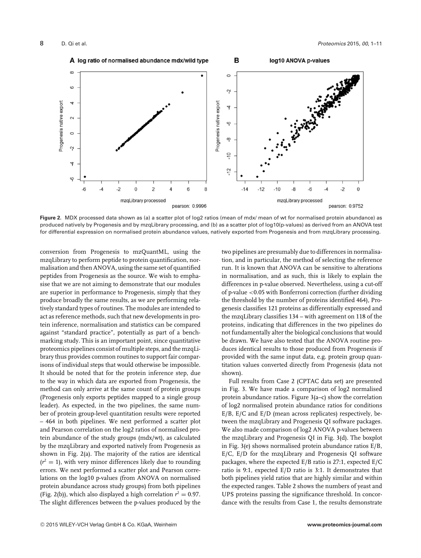

**Figure 2.** MDX processed data shown as (a) a scatter plot of log2 ratios (mean of mdx/ mean of wt for normalised protein abundance) as produced natively by Progenesis and by mzqLibrary processing, and (b) as a scatter plot of log10(p-values) as derived from an ANOVA test for differential expression on normalised protein abundance values, natively exported from Progenesis and from mzqLibrary processing.

conversion from Progenesis to mzQuantML, using the mzqLibrary to perform peptide to protein quantification, normalisation and then ANOVA, using the same set of quantified peptides from Progenesis as the source. We wish to emphasise that we are not aiming to demonstrate that our modules are superior in performance to Progenesis, simply that they produce broadly the same results, as we are performing relatively standard types of routines. The modules are intended to act as reference methods, such that new developments in protein inference, normalisation and statistics can be compared against "standard practice", potentially as part of a benchmarking study. This is an important point, since quantitative proteomics pipelines consist of multiple steps, and the mzqLibrary thus provides common routines to support fair comparisons of individual steps that would otherwise be impossible. It should be noted that for the protein inference step, due to the way in which data are exported from Progenesis, the method can only arrive at the same count of protein groups (Progenesis only exports peptides mapped to a single group leader). As expected, in the two pipelines, the same number of protein group-level quantitation results were reported – 464 in both pipelines. We next performed a scatter plot and Pearson correlation on the log2 ratios of normalised protein abundance of the study groups (mdx/wt), as calculated by the mzqLibrary and exported natively from Progenesis as shown in Fig. 2(a). The majority of the ratios are identical  $(r^2 = 1)$ , with very minor differences likely due to rounding errors. We next performed a scatter plot and Pearson correlations on the log10 p-values (from ANOVA on normalised protein abundance across study groups) from both pipelines (Fig. 2(b)), which also displayed a high correlation  $r^2 = 0.97$ . The slight differences between the p-values produced by the

two pipelines are presumably due to differences in normalisation, and in particular, the method of selecting the reference run. It is known that ANOVA can be sensitive to alterations in normalisation, and as such, this is likely to explain the differences in p-value observed. Nevertheless, using a cut-off of p-value <0.05 with Bonferroni correction (further dividing the threshold by the number of proteins identified 464), Progenesis classifies 121 proteins as differentially expressed and the mzqLibrary classifies 134 – with agreement on 118 of the proteins, indicating that differences in the two pipelines do not fundamentally alter the biological conclusions that would be drawn. We have also tested that the ANOVA routine produces identical results to those produced from Progenesis if provided with the same input data, e.g. protein group quantitation values converted directly from Progenesis (data not shown).

Full results from Case 2 (CPTAC data set) are presented in Fig. 3. We have made a comparison of log2 normalised protein abundance ratios. Figure 3(a–c) show the correlation of log2 normalised protein abundance ratios for conditions E/B, E/C and E/D (mean across replicates) respectively, between the mzqLibrary and Progenesis QI software packages. We also made comparison of log2 ANOVA p-values between the mzqLibrary and Progenesis QI in Fig. 3(d). The boxplot in Fig. 3(e) shows normalised protein abundance ratios E/B, E/C, E/D for the mzqLibrary and Progenesis QI software packages, where the expected E/B ratio is 27:1, expected E/C ratio is 9:1, expected E/D ratio is 3:1. It demonstrates that both pipelines yield ratios that are highly similar and within the expected ranges. Table 2 shows the numbers of yeast and UPS proteins passing the significance threshold. In concordance with the results from Case 1, the results demonstrate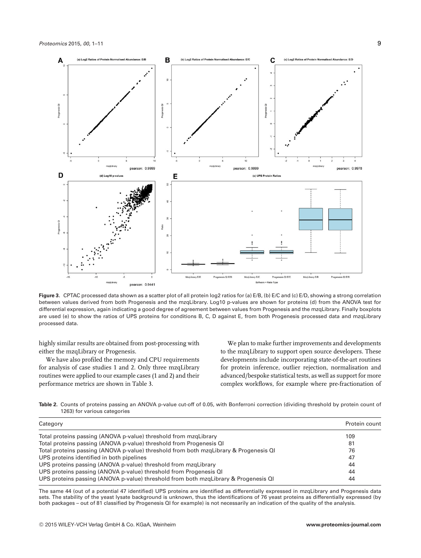

**Figure 3.** CPTAC processed data shown as a scatter plot of all protein log2 ratios for (a) E/B, (b) E/C and (c) E/D, showing a strong correlation between values derived from both Progenesis and the mzqLibrary. Log10 p-values are shown for proteins (d) from the ANOVA test for differential expression, again indicating a good degree of agreement between values from Progenesis and the mzqLibrary. Finally boxplots are used (e) to show the ratios of UPS proteins for conditions B, C, D against E, from both Progenesis processed data and mzqLibrary processed data.

highly similar results are obtained from post-processing with either the mzqLibrary or Progenesis.

We have also profiled the memory and CPU requirements for analysis of case studies 1 and 2. Only three mzqLibrary routines were applied to our example cases (1 and 2) and their performance metrics are shown in Table 3.

We plan to make further improvements and developments to the mzqLibrary to support open source developers. These developments include incorporating state-of-the-art routines for protein inference, outlier rejection, normalisation and advanced/bespoke statistical tests, as well as support for more complex workflows, for example where pre-fractionation of

**Table 2.** Counts of proteins passing an ANOVA p-value cut-off of 0.05, with Bonferroni correction (dividing threshold by protein count of 1263) for various categories

| Category                                                                              | Protein count |
|---------------------------------------------------------------------------------------|---------------|
| Total proteins passing (ANOVA p-value) threshold from mzgLibrary                      | 109           |
| Total proteins passing (ANOVA p-value) threshold from Progenesis QI                   | 81            |
| Total proteins passing (ANOVA p-value) threshold from both mzgLibrary & Progenesis QI | 76            |
| UPS proteins identified in both pipelines                                             | 47            |
| UPS proteins passing (ANOVA p-value) threshold from mzgLibrary                        | 44            |
| UPS proteins passing (ANOVA p-value) threshold from Progenesis QI                     | 44            |
| UPS proteins passing (ANOVA p-value) threshold from both mzgLibrary & Progenesis QI   | 44            |

The same 44 (out of a potential 47 identified) UPS proteins are identified as differentially expressed in mzqLibrary and Progenesis data sets. The stability of the yeast lysate background is unknown, thus the identifications of 76 yeast proteins as differentially expressed (by both packages – out of 81 classified by Progenesis QI for example) is not necessarily an indication of the quality of the analysis.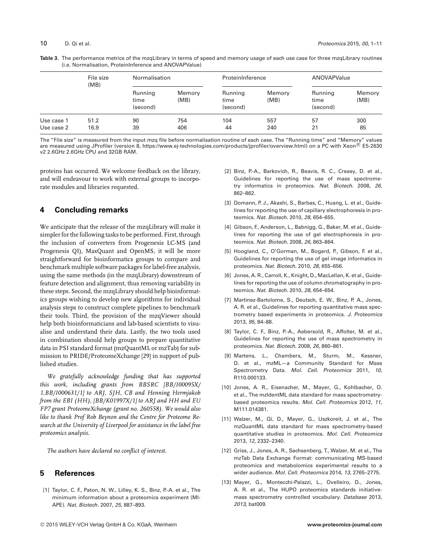| Table 3. The performance metrics of the mzqLibrary in terms of speed and memory usage of each use case for three mzqLibrary routines |
|--------------------------------------------------------------------------------------------------------------------------------------|
| (i.e. Normalisation, ProteinInference and ANOVAPValue)                                                                               |

|                          | File size<br>(MB) | Normalisation               |                | ProteinInference            |                | ANOVAPValue                 |                |
|--------------------------|-------------------|-----------------------------|----------------|-----------------------------|----------------|-----------------------------|----------------|
|                          |                   | Running<br>time<br>(second) | Memory<br>(MB) | Running<br>time<br>(second) | Memory<br>(MB) | Running<br>time<br>(second) | Memory<br>(MB) |
| Use case 1<br>Use case 2 | 51.2<br>16.9      | 90<br>39                    | 754<br>406     | 104<br>44                   | 557<br>240     | 57<br>21                    | 300<br>85      |

The "File size" is measured from the input mzq file before normalisation routine of each case. The "Running time" and "Memory" values are measured using JProfiler (version 8, [https://www.ej-technologies.com/products/jprofiler/overview.html\)](https://www.ej-technologies.com/products/jprofiler/overview.html) on a PC with Xeon® E5-2630 v2 2.6GHz 2.6GHz CPU and 32GB RAM.

proteins has occurred. We welcome feedback on the library, and will endeavour to work with external groups to incorporate modules and libraries requested.

# **4 Concluding remarks**

We anticipate that the release of the mzqLibrary will make it simpler for the following tasks to be performed. First, through the inclusion of converters from Progenesis LC-MS (and Progenesis QI), MaxQuant and OpenMS, it will be more straightforward for bioinformatics groups to compare and benchmark multiple software packages for label-free analysis, using the same methods (in the mzqLibrary) downstream of feature detection and alignment, thus removing variability in these steps. Second, the mzqLibrary should help bioinformatics groups wishing to develop new algorithms for individual analysis steps to construct complete pipelines to benchmark their tools. Third, the provision of the mzqViewer should help both bioinformaticians and lab-based scientists to visualise and understand their data. Lastly, the two tools used in combination should help groups to prepare quantitative data in PSI standard format (mzQuantML or mzTab) for submission to PRIDE/ProteomeXchange [29] in support of published studies.

*We gratefully acknowledge funding that has supported this work, including grants from BBSRC [BB/I00095X/ 1,BB/I000631/1] to ARJ, SJH, CB and Henning Hermjakob from the EBI (HH), [BB/K01997X/1] to ARJ and HH and EU FP7 grant ProteomeXchange (grant no. 260558). We would also like to thank Prof Rob Beynon and the Centre for Proteome Research at the University of Liverpool for assistance in the label free proteomics analysis.*

*The authors have declared no conflict of interest.*

## **5 References**

[1] Taylor, C. F., Paton, N. W., Lilley, K. S., Binz, P.-A. et al., The minimum information about a proteomics experiment (MI-APE). *Nat. Biotech.* 2007, *25*, 887–893.

- [2] Binz, P.-A., Barkovich, R., Beavis, R. C., Creasy, D. et al., Guidelines for reporting the use of mass spectrometry informatics in proteomics. *Nat. Biotech.* 2008, *26*, 862–862.
- [3] Domann, P. J., Akashi, S., Barbas, C., Huang, L. et al., Guidelines for reporting the use of capillary electrophoresis in proteomics. *Nat. Biotech.* 2010, *28*, 654–655.
- [4] Gibson, F., Anderson, L., Babnigg, G., Baker, M. et al., Guidelines for reporting the use of gel electrophoresis in proteomics. *Nat. Biotech.* 2008, *26*, 863–864.
- [5] Hoogland, C., O'Gorman, M., Bogard, P., Gibson, F. et al., Guidelines for reporting the use of gel image informatics in proteomics. *Nat. Biotech.* 2010, *28*, 655–656.
- [6] Jones, A. R., Carroll, K., Knight, D., MacLellan, K. et al., Guidelines for reporting the use of column chromatography in proteomics. *Nat. Biotech.* 2010, *28*, 654–654.
- [7] Martinez-Bartolome, S., Deutsch, E. W., Binz, P. A., Jones, A. R. et al., Guidelines for reporting quantitative mass spectrometry based experiments in proteomics. *J. Proteomics* 2013, *95*, 84–88.
- [8] Taylor, C. F., Binz, P.-A., Aebersold, R., Affolter, M. et al., Guidelines for reporting the use of mass spectrometry in proteomics. *Nat. Biotech.* 2008, *26*, 860–861.
- [9] Martens, L., Chambers, M., Sturm, M., Kessner, D. et al., mzML—a Community Standard for Mass Spectrometry Data. *Mol. Cell. Proteomics* 2011, *10*, R110.000133.
- [10] Jones, A. R., Eisenacher, M., Mayer, G., Kohlbacher, O. et al., The mzIdentML data standard for mass spectrometrybased proteomics results. *Mol. Cell. Proteomics* 2012, *11*, M111.014381.
- [11] Walzer, M., Qi, D., Mayer, G., Uszkoreit, J. et al., The mzQuantML data standard for mass spectrometry-based quantitative studies in proteomics. *Mol. Cell. Proteomics* 2013, *12*, 2332–2340.
- [12] Griss, J., Jones, A. R., Sachsenberg, T., Walzer, M. et al., The mzTab Data Exchange Format: communicating MS-based proteomics and metabolomics experimental results to a wider audience. *Mol. Cell. Proteomics* 2014, *13*, 2765–2775.
- [13] Mayer, G., Montecchi-Palazzi, L., Ovelleiro, D., Jones, A. R. et al., The HUPO proteomics standards initiativemass spectrometry controlled vocabulary. *Database* 2013, *2013*, bat009.